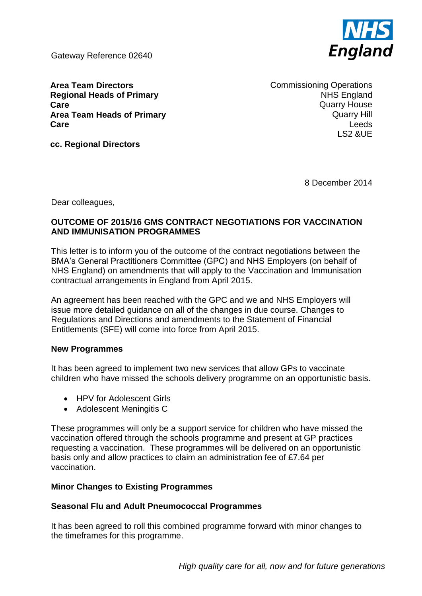Gateway Reference 02640



**Area Team Directors Regional Heads of Primary Care Area Team Heads of Primary Care**

Commissioning Operations NHS England Quarry House Quarry Hill Leeds LS2 &UE

**cc. Regional Directors**

8 December 2014

Dear colleagues,

### **OUTCOME OF 2015/16 GMS CONTRACT NEGOTIATIONS FOR VACCINATION AND IMMUNISATION PROGRAMMES**

This letter is to inform you of the outcome of the contract negotiations between the BMA's General Practitioners Committee (GPC) and NHS Employers (on behalf of NHS England) on amendments that will apply to the Vaccination and Immunisation contractual arrangements in England from April 2015.

An agreement has been reached with the GPC and we and NHS Employers will issue more detailed guidance on all of the changes in due course. Changes to Regulations and Directions and amendments to the Statement of Financial Entitlements (SFE) will come into force from April 2015.

#### **New Programmes**

It has been agreed to implement two new services that allow GPs to vaccinate children who have missed the schools delivery programme on an opportunistic basis.

- HPV for Adolescent Girls
- Adolescent Meningitis C

These programmes will only be a support service for children who have missed the vaccination offered through the schools programme and present at GP practices requesting a vaccination. These programmes will be delivered on an opportunistic basis only and allow practices to claim an administration fee of £7.64 per vaccination.

# **Minor Changes to Existing Programmes**

# **Seasonal Flu and Adult Pneumococcal Programmes**

It has been agreed to roll this combined programme forward with minor changes to the timeframes for this programme.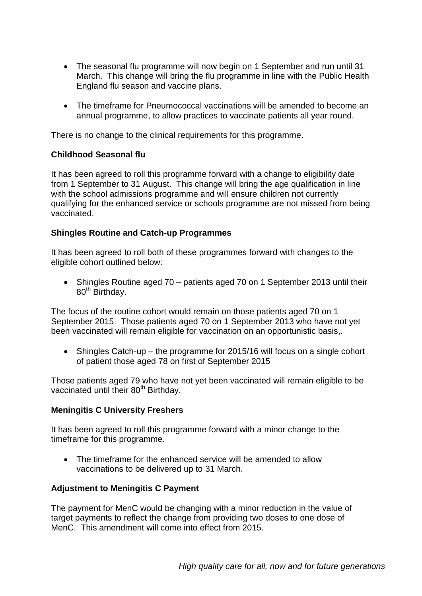- The seasonal flu programme will now begin on 1 September and run until 31 March. This change will bring the flu programme in line with the Public Health England flu season and vaccine plans.
- The timeframe for Pneumococcal vaccinations will be amended to become an annual programme, to allow practices to vaccinate patients all year round.

There is no change to the clinical requirements for this programme.

### **Childhood Seasonal flu**

It has been agreed to roll this programme forward with a change to eligibility date from 1 September to 31 August. This change will bring the age qualification in line with the school admissions programme and will ensure children not currently qualifying for the enhanced service or schools programme are not missed from being vaccinated.

# **Shingles Routine and Catch-up Programmes**

It has been agreed to roll both of these programmes forward with changes to the eligible cohort outlined below:

• Shingles Routine aged 70 – patients aged 70 on 1 September 2013 until their 80<sup>th</sup> Birthday.

The focus of the routine cohort would remain on those patients aged 70 on 1 September 2015. Those patients aged 70 on 1 September 2013 who have not yet been vaccinated will remain eligible for vaccination on an opportunistic basis,.

• Shingles Catch-up – the programme for 2015/16 will focus on a single cohort of patient those aged 78 on first of September 2015

Those patients aged 79 who have not yet been vaccinated will remain eligible to be vaccinated until their 80<sup>th</sup> Birthday.

# **Meningitis C University Freshers**

It has been agreed to roll this programme forward with a minor change to the timeframe for this programme.

• The timeframe for the enhanced service will be amended to allow vaccinations to be delivered up to 31 March.

# **Adjustment to Meningitis C Payment**

The payment for MenC would be changing with a minor reduction in the value of target payments to reflect the change from providing two doses to one dose of MenC. This amendment will come into effect from 2015.